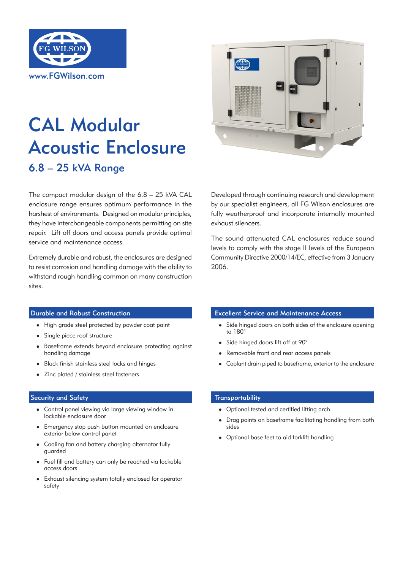

# CAL Modular Acoustic Enclosure 6.8 – 25 kVA Range

The compact modular design of the 6.8 – 25 kVA CAL enclosure range ensures optimum performance in the harshest of environments. Designed on modular principles, they have interchangeable components permitting on site repair. Lift off doors and access panels provide optimal service and maintenance access.

Extremely durable and robust, the enclosures are designed to resist corrosion and handling damage with the ability to withstand rough handling common on many construction sites.



Developed through continuing research and development by our specialist engineers, all FG Wilson enclosures are fully weatherproof and incorporate internally mounted exhaust silencers.

The sound attenuated CAL enclosures reduce sound levels to comply with the stage II levels of the European Community Directive 2000/14/EC, effective from 3 January 2006.

## Durable and Robust Construction

- High grade steel protected by powder coat paint
- Single piece roof structure
- Baseframe extends beyond enclosure protecting against handling damage
- Black finish stainless steel locks and hinges
- Zinc plated / stainless steel fasteners

## Security and Safety

- Control panel viewing via large viewing window in lockable enclosure door
- Emergency stop push button mounted on enclosure exterior below control panel
- Cooling fan and battery charging alternator fully guarded
- Fuel fill and battery can only be reached via lockable access doors
- Exhaust silencing system totally enclosed for operator safety

#### Excellent Service and Maintenance Access

- Side hinged doors on both sides of the enclosure opening to 180°
- Side hinged doors lift off at 90°
- Removable front and rear access panels
- Coolant drain piped to baseframe, exterior to the enclosure

## **Transportability**

- Optional tested and certified lifting arch<br>  $\sum_{n=0}^{\infty}$
- en en generale <sup>l</sup> Drag points on baseframe facilitating handling from both sides
- Optional base feet to aid forklift handling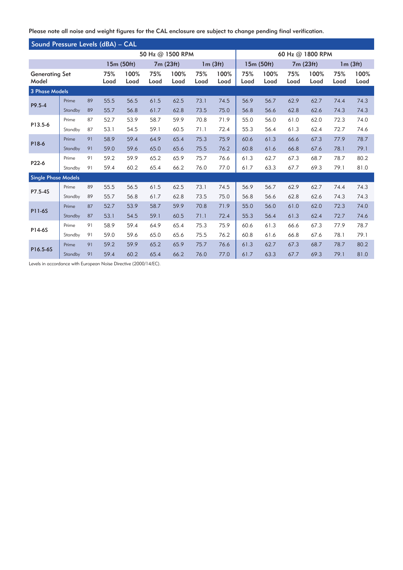Please note all noise and weight figures for the CAL enclosure are subject to change pending final verification..

| Sound Pressure Levels (dBA) - CAL |         |                  |              |             |              |             |              |                  |              |             |              |             |              |      |
|-----------------------------------|---------|------------------|--------------|-------------|--------------|-------------|--------------|------------------|--------------|-------------|--------------|-------------|--------------|------|
|                                   |         | 50 Hz @ 1500 RPM |              |             |              |             |              | 60 Hz @ 1800 RPM |              |             |              |             |              |      |
|                                   |         | 15m (50ft)       |              | 7m (23ft)   |              | 1m(3ft)     |              | 15m (50ft)       |              | 7m (23ft)   |              | 1m(3ft)     |              |      |
| <b>Generating Set</b><br>Model    |         | 75%<br>Load      | 100%<br>Load | 75%<br>Load | 100%<br>Load | 75%<br>Load | 100%<br>Load | 75%<br>Load      | 100%<br>Load | 75%<br>Load | 100%<br>Load | 75%<br>Load | 100%<br>Load |      |
| 3 Phase Models                    |         |                  |              |             |              |             |              |                  |              |             |              |             |              |      |
| P9.5-4                            | Prime   | 89               | 55.5         | 56.5        | 61.5         | 62.5        | 73.1         | 74.5             | 56.9         | 56.7        | 62.9         | 62.7        | 74.4         | 74.3 |
|                                   | Standby | 89               | 55.7         | 56.8        | 61.7         | 62.8        | 73.5         | 75.0             | 56.8         | 56.6        | 62.8         | 62.6        | 74.3         | 74.3 |
| P13.5-6                           | Prime   | 87               | 52.7         | 53.9        | 58.7         | 59.9        | 70.8         | 71.9             | 55.0         | 56.0        | 61.0         | 62.0        | 72.3         | 74.0 |
|                                   | Standby | 87               | 53.1         | 54.5        | 59.1         | 60.5        | 71.1         | 72.4             | 55.3         | 56.4        | 61.3         | 62.4        | 72.7         | 74.6 |
| P18-6                             | Prime   | 91               | 58.9         | 59.4        | 64.9         | 65.4        | 75.3         | 75.9             | 60.6         | 61.3        | 66.6         | 67.3        | 77.9         | 78.7 |
|                                   | Standby | 91               | 59.0         | 59.6        | 65.0         | 65.6        | 75.5         | 76.2             | 60.8         | 61.6        | 66.8         | 67.6        | 78.1         | 79.1 |
| P22-6                             | Prime   | 91               | 59.2         | 59.9        | 65.2         | 65.9        | 75.7         | 76.6             | 61.3         | 62.7        | 67.3         | 68.7        | 78.7         | 80.2 |
|                                   | Standby | 91               | 59.4         | 60.2        | 65.4         | 66.2        | 76.0         | 77.0             | 61.7         | 63.3        | 67.7         | 69.3        | 79.1         | 81.0 |
| <b>Single Phase Models</b>        |         |                  |              |             |              |             |              |                  |              |             |              |             |              |      |
| P7.5-4S                           | Prime   | 89               | 55.5         | 56.5        | 61.5         | 62.5        | 73.1         | 74.5             | 56.9         | 56.7        | 62.9         | 62.7        | 74.4         | 74.3 |
|                                   | Standby | 89               | 55.7         | 56.8        | 61.7         | 62.8        | 73.5         | 75.0             | 56.8         | 56.6        | 62.8         | 62.6        | 74.3         | 74.3 |
| P11-6S                            | Prime   | 87               | 52.7         | 53.9        | 58.7         | 59.9        | 70.8         | 71.9             | 55.0         | 56.0        | 61.0         | 62.0        | 72.3         | 74.0 |
|                                   | Standby | 87               | 53.1         | 54.5        | 59.1         | 60.5        | 71.1         | 72.4             | 55.3         | 56.4        | 61.3         | 62.4        | 72.7         | 74.6 |
| P14-6S                            | Prime   | 91               | 58.9         | 59.4        | 64.9         | 65.4        | 75.3         | 75.9             | 60.6         | 61.3        | 66.6         | 67.3        | 77.9         | 78.7 |
|                                   | Standby | 91               | 59.0         | 59.6        | 65.0         | 65.6        | 75.5         | 76.2             | 60.8         | 61.6        | 66.8         | 67.6        | 78.1         | 79.1 |
| P16.5-6S                          | Prime   | 91               | 59.2         | 59.9        | 65.2         | 65.9        | 75.7         | 76.6             | 61.3         | 62.7        | 67.3         | 68.7        | 78.7         | 80.2 |
|                                   | Standby | 91               | 59.4         | 60.2        | 65.4         | 66.2        | 76.0         | 77.0             | 61.7         | 63.3        | 67.7         | 69.3        | 79.1         | 81.0 |

Levels in accordance with European Noise Directive (2000/14/EC).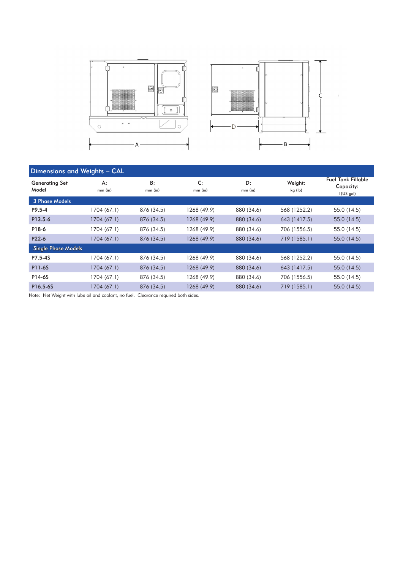

| Dimensions and Weights - CAL   |                    |                 |                 |                 |                    |                                                        |  |  |  |  |
|--------------------------------|--------------------|-----------------|-----------------|-----------------|--------------------|--------------------------------------------------------|--|--|--|--|
| <b>Generating Set</b><br>Model | $A$ :<br>$mm$ (in) | B:<br>$mm$ (in) | C:<br>$mm$ (in) | D:<br>$mm$ (in) | Weight:<br>kg (lb) | <b>Fuel Tank Fillable</b><br>Capacity:<br>$I$ (US gal) |  |  |  |  |
| 3 Phase Models                 |                    |                 |                 |                 |                    |                                                        |  |  |  |  |
| P9.5-4                         | 1704 (67.1)        | 876 (34.5)      | 1268 (49.9)     | 880 (34.6)      | 568 (1252.2)       | 55.0 (14.5)                                            |  |  |  |  |
| P13.5-6                        | 1704 (67.1)        | 876 (34.5)      | 1268 (49.9)     | 880 (34.6)      | 643 (1417.5)       | 55.0 (14.5)                                            |  |  |  |  |
| P18-6                          | 1704 (67.1)        | 876 (34.5)      | 1268 (49.9)     | 880 (34.6)      | 706 (1556.5)       | 55.0 (14.5)                                            |  |  |  |  |
| P22-6                          | 1704 (67.1)        | 876 (34.5)      | 1268 (49.9)     | 880 (34.6)      | 719 (1585.1)       | 55.0 (14.5)                                            |  |  |  |  |
| <b>Single Phase Models</b>     |                    |                 |                 |                 |                    |                                                        |  |  |  |  |
| P7.5-4S                        | 1704 (67.1)        | 876 (34.5)      | 1268 (49.9)     | 880 (34.6)      | 568 (1252.2)       | 55.0 (14.5)                                            |  |  |  |  |
| <b>P11-6S</b>                  | 1704 (67.1)        | 876 (34.5)      | 1268 (49.9)     | 880 (34.6)      | 643 (1417.5)       | 55.0 (14.5)                                            |  |  |  |  |
| P14-6S                         | 1704 (67.1)        | 876 (34.5)      | 1268 (49.9)     | 880 (34.6)      | 706 (1556.5)       | 55.0 (14.5)                                            |  |  |  |  |
| P16.5-6S                       | 1704 (67.1)        | 876 (34.5)      | 1268 (49.9)     | 880 (34.6)      | 719 (1585.1)       | 55.0 (14.5)                                            |  |  |  |  |

Note: Net Weight with lube oil and coolant, no fuel. Clearance required both sides.